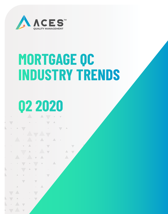

# **MORTGAGE QC INDUSTRY TRENDS**

 $\triangle$ 

# **Q2 2020**

 $\overline{\phantom{0}}$ 

 $\overline{\phantom{0}}$ 

 $\bar{\Delta}$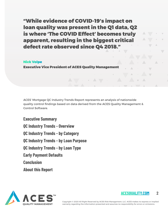"While evidence of COVID-19's impact on loan quality was present in the Q1 data, Q2 is where 'The COVID Effect' becomes truly apparent, resulting in the biggest critical defect rate observed since Q4 2018."

#### Nick Volpe

Executive Vice President of ACES Quality Management

ACES' Mortgage QC Industry Trends Report represents an analysis of nationwide quality control findings based on data derived from the ACES Quality Management & Control Software.

**Executive Summary QC Industry Trends - Overview QC Industry Trends - by Category QC Industry Trends - by Loan Purpose QC Industry Trends - by Loan Type Early Payment Defaults Conclusion About this Report**



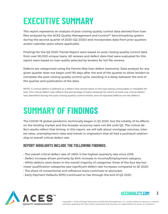### **EXECUTIVE SUMMARY**

This report represents an analysis of post-closing quality control data derived from loan files analyzed by the ACES Quality Management and Control™ benchmarking system during the second quarter of 2020 (Q2 2020) and incorporates data from prior quarters and/or calendar years where applicable.

Findings for the Q2 2020 Trends Report were based on post-closing quality control data from over 90,000 unique loans. All reviews and defect data that were evaluated for this report were based on loan audits selected by lenders for full file reviews.

Defects are categorized using the Fannie Mae loan defect taxonomy. Data analysis for any given quarter does not begin until 90 days after the end of the quarter to allow lenders to complete the post-closing quality control cycle, resulting in a delay between the end of the quarter and publication of the data.

NOTE: A critical defect is defined as a defect that would result in the loan being uninsurable or ineligible for sale. The critical defect rate reflects the percentage of loans reviewed for which at least one critical defect was identified during the post-closing quality control review, and all reported defects are net defects.

### **SUMMARY OF FINDINGS**

The COVID-19 global pandemic technically began in Q1 2020, but the totality of its effects on the lending market and the broader economy were not felt until Q2. The critical defect results reflect that timing. In this report, we will talk about mortgage volumes, interest rates, unemployment rates and trends in origination that all had a push/pull relationship to overall critical defect rate.

#### **REPORT HIGHLIGHTS INCLUDE THE FOLLOWING FINDINGS:**

- The overall critical defect rate of 1.88% is the highest quarterly rate since 2018.
- Defect increase driven primarily by 64% increase in Income/Employment category.
- While defects were down in the overall majority of categories, three of the four key borrower qualification categories saw significant defect rate increases compared to Q1 2020.
- The share of conventional and refinance loans continues to skyrocket.
- Early Payment Defaults (EPD) continued to rise through the end of Q3 2020.



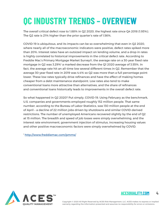## **QC INDUSTRY TRENDS – OVERVIEW**

The overall critical defect rose to 1.88% in Q2 2020, the highest rate since Q4 2018 (1.93%). The Q2 rate is 21% higher than the prior quarter's rate of 1.56%.

COVID-19 is ubiquitous, and its impacts can be so overwhelming that even in Q2 2020, where nearly all of the macroeconomic indicators were positive, defect rates spiked more than 20%. Interest rates have an outsized impact on lending volume, and a drop in rates is highly correlated to historical improvements in the critical defect rate. According to Freddie Mac's Primary Mortgage Market Survey®, the average rate on a 30-year fixed rate mortgage in Q2 was 3.29%<sup>1</sup> a marked decrease from the Q1 2020 average of 3.55%. In fact, the average rate hit an all-time low several different times in Q2. Remember that the average 30-year fixed rate in 2019 was 4.4% so Q2 was more than a full percentage point lower. These low rates typically drive refinances and have the effect of making homes cheaper from a debt maintenance standpoint. Low rates also tend to make conventional loans more attractive than alternatives, and the share of refinances and conventional loans historically leads to improvements in the overall defect rate.

So what happened in Q2 2020? Put simply, COVID-19. Using February as the benchmark, U.S. companies and governments employed roughly 152 million people. That same number, according to the Bureau of Labor Statistics, was 130 million people at the end of April – a decline of 22 million jobs driven by shutdowns and similar COVID-derived restrictions. The number of unemployed Americans recovered slightly by the end of Q2 at 15 million. The breadth and speed of job losses were simply overwhelming, and the interest rate environment, government injection of stimulus, increasing housing values and other positive macroeconomic factors were simply overwhelmed by COVID.

<sup>1</sup> http://www.freddiemac.com/pmms/



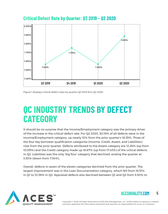

**Critical Defect Rate by Quarter: Q3 2019 – Q2 2020**

Figure 1 displays critical defect rates by quarter Q3 2019 thru Q2 2020.

### **QC INDUSTRY TRENDS BY DEFECT CATEGORY**

It should be no surprise that the Income/Employment category was the primary driver of the increase in the critical defect rate. For Q2 2020, 30.19% of all defects were in the Income/Employment category, up nearly 12% from the prior quarter's 18.35%. Three of the four key borrower qualification categories (Income, Credit, Assets, and Liabilities) rose from the prior quarter. Defects attributed to the Assets category are 12.26% (up from 10.09%) and the Credit category made up 18.87% (up from 17.43%) of the critical defects in Q2. Liabilities was the only 'big four' category that declined, ending the quarter at 3.30% (down from 7.34%).

Overall, defects in seven of the eleven categories declined from the prior quarter. The largest improvement was in the Loan Documentation category, which fell from 16.51% in Q1 to 10.38% in Q2. Appraisal defects also declined between Q1 and Q2 from 5.50% to



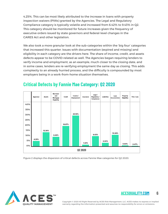4.25%. This can be most likely attributed to the increase in loans with property inspection waivers (PIWs) granted by the Agencies. The Legal and Regulatory Compliance category is typically volatile and increased from 6.42% to 9.43% in Q2. This category should be monitored for future increases given the frequency of executive orders issued by state governors and federal-level changes in the CARES Act and other legislation.

We also took a more granular look at the sub-categories within the 'big four' categories that increased this quarter. Issues with documentation (expired and missing) and eligibility in each category are the drivers here. The share of income, credit, and assets defects appear to be COVID-related as well. The Agencies began requiring lenders to verify income and employment, as an example, much closer to the closing date, and in some cases, lenders are re-verifying employment the same day as closing. This adds complexity to an already hurried process, and the difficulty is compounded by most employers being in a work-from-home situation themselves.



#### **Critical Defects by Fannie Mae Category: Q2 2020**

Figure 2 displays the dispersion of critical defects across Fannie Mae categories for Q2 2020.



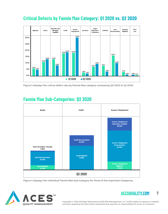### **Critical Defects by Fannie Mae Category: Q1 2020 vs. Q2 2020**



Figure 3 displays the critical defect rate by Fannie Mae category comparing Q2 2020 to Q1 2020.

### **Fannie Mae Sub-Categories: Q2 2020**



Figure 4 displays the individual Fannie Mae Sub-Category for three of the important Categories.



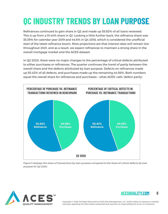### **QC INDUSTRY TRENDS BY LOAN PURPOSE**

Refinances continued to gain share in Q2 and made up 55.92% of all loans reviewed. This is up from a 51.44% share in Q1. Looking a little further back, the refinance share was 35.39% for calendar year 2019 and 44.6% in Q4 2018, which is considered the unofficial start of the latest refinance boom. Most projections are that interest rates will remain low throughout 2021, and as a result, we expect refinances to maintain a strong share in the overall mortgage market and the ACES dataset.

In Q2 2020, there were no major changes to the percentage of critical defects attributed to either purchases or refinances. The quarter continues the trend of parity between the overall share and the defects attributed by loan purpose. Defects on refinances made up 55.42% of all defects, and purchases made up the remaining 44.56%. Both numbers equal the overall share for refinances and purchases – what ACES' calls 'defect parity'.



Figure 5 displays the share of transactions by loan purpose compared to the share of critical defects by loan purpose for Q2 2020.



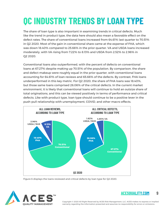# **QC INDUSTRY TRENDS BY LOAN TYPE**

The share of loan type is also important in examining trends in critical defects. Much like the trend in product type, the data here should also mean a favorable effect on the defect rates. The share of conventional loans increased from 64.61% last quarter to 70.51% in Q2 2020. Most of the gain in conventional share came at the expense of FHA, which was down 18.40% compared to 25.66% in the prior quarter. VA and USDA loans increased moderately, with VA rising from 7.22% to 8.13% and USDA from 2.52% to 2.96% in Q2 2020.

Conventional loans also outperformed, with the percent of defects on conventional loans at 67.27% despite making up 70.51% of the population. By comparison, the share and defect makeup were roughly equal in the prior quarter, with conventional loans accounting for 64.61% of loan reviews and 65.66% of the defects. By contrast, FHA loans underperformed in this key metric. For Q2 2020, the share of FHA loans was 18.40%, but those same loans comprised 26.06% of the critical defects. In the current market environment, it is likely that conventional loans will continue to hold an outsize share of total originations, and this can be viewed positively in terms of performance and critical defects. Like with product type, loan type should continue to be a positive lever in the push-pull relationship with unemployment, COVID, and other macro effects.



Figure 6 displays the loans reviewed and critical defects by loan type for Q2 2020.



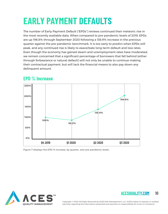## **EARLY PAYMENT DEFAULTS**

The number of Early Payment Default ("EPDs") reviews continued their meteoric rise in the most recently available data. When compared to pre-pandemic levels of 2019, EPDs are up 196.8% through September 2020 following a 138.9% increase in the previous quarter against the pre-pandemic benchmark. It is too early to predict when EPDs will peak, and any continued rise is likely to exacerbate long-term default and loss rates. Even though the economy has gained steam and unemployment rates have moderated, we remain concerned that a significant percentage of borrowers that fall behind (either through forbearance or natural default) will not only be unable to continue making their contractual payment, but will lack the financial means to also pay down any delinquent amount.



### **EPD % Increase**

Figure 7 displays the EPD % increase, by quarter, over pre-pandemic levels.



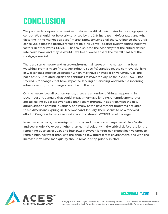### **CONCLUSION**

The pandemic is upon us, at least as it relates to critical defect rates in mortgage quality control. We should not be overly surprised by the 21% increase in defect rates, and when factoring in the market positives (interest rates, conventional share, refinance share), it is conceivable that the positive forces are holding up well against overwhelming negative factors. In other words, COVID-19 has so disrupted the economy that the critical defect rate could have, and maybe would have been, worse absent the overall health of the mortgage market.

There are some macro- and micro-environmental issues on the horizon that bear watching. From a micro (mortgage industry-specific) standpoint, the controversial hike in G-fees takes effect in December, which may have an impact on volumes. Also, the pace of COVID-related legislation continues to move rapidly. So far in 2020, ACES has tracked 862 changes that have impacted lending or servicing, and with the incoming administration, more changes could be on the horizon.

On the macro (overall economy) side, there are a number of things happening in December and January that could impact mortgage lending. Unemployment rates are still falling but at a slower pace than recent months. In addition, with the new administration coming in January and many of the government programs designed to aid Americans expiring in December and January, there seems to be a renewed effort in Congress to pass a second economic stimulus/COVID relief package.

In so many respects, the mortgage industry and the world at large remain in a "waitand-see" mode. We expect higher than normal volatility in the critical defect rate for the remaining quarters of 2020 and into 2021. However, lenders can expect loan volumes to remain high next year thanks to the ongoing low-interest rate environment, and with the increase in volume, loan quality should remain a top priority in 2021.